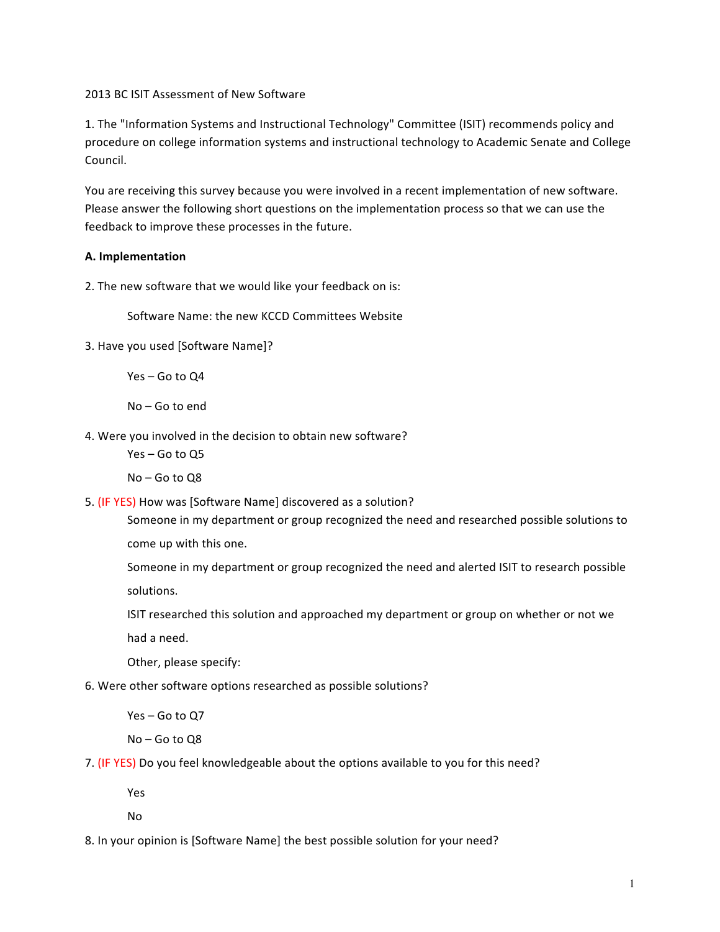## 2013 BC ISIT Assessment of New Software

1. The "Information Systems and Instructional Technology" Committee (ISIT) recommends policy and procedure on college information systems and instructional technology to Academic Senate and College Council. 

You are receiving this survey because you were involved in a recent implementation of new software. Please answer the following short questions on the implementation process so that we can use the feedback to improve these processes in the future.

## **A. Implementation**

2. The new software that we would like your feedback on is:

Software Name: the new KCCD Committees Website

3. Have you used [Software Name]?

Yes – Go to Q4

No - Go to end

4. Were you involved in the decision to obtain new software?

Yes – Go to Q5

 $No - Go$  to  $Q8$ 

5. (IF YES) How was [Software Name] discovered as a solution?

Someone in my department or group recognized the need and researched possible solutions to come up with this one.

Someone in my department or group recognized the need and alerted ISIT to research possible solutions.

ISIT researched this solution and approached my department or group on whether or not we

had a need.

Other, please specify:

6. Were other software options researched as possible solutions?

Yes – Go to O7

No – Go to Q8

7. (IF YES) Do you feel knowledgeable about the options available to you for this need?

Yes

No

8. In your opinion is [Software Name] the best possible solution for your need?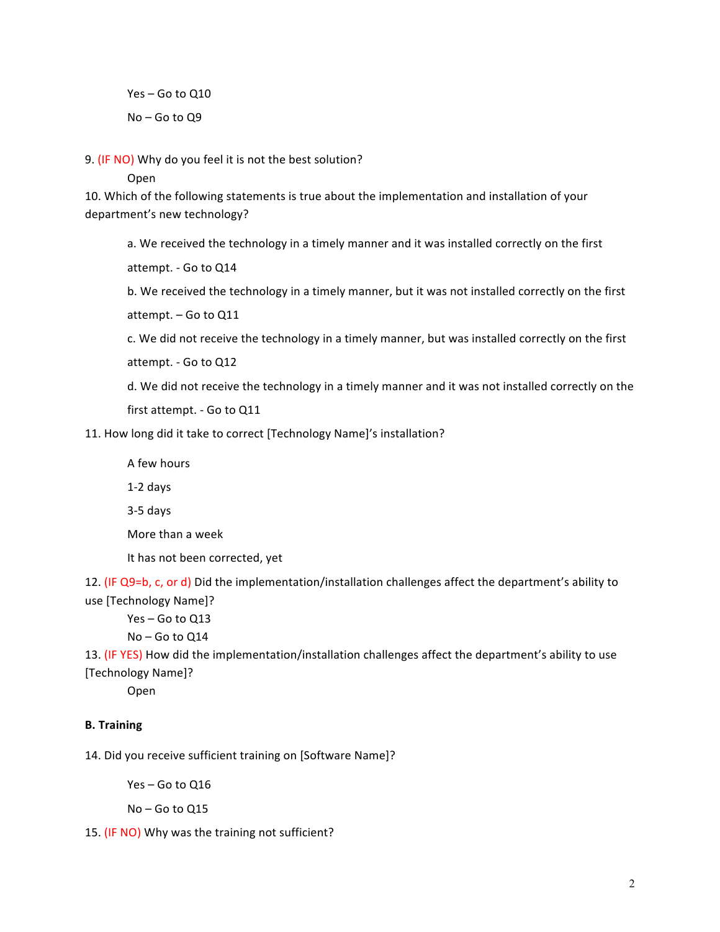Yes - Go to Q10 No – Go to Q9

9. (IF NO) Why do you feel it is not the best solution?

Open

10. Which of the following statements is true about the implementation and installation of your department's new technology?

a. We received the technology in a timely manner and it was installed correctly on the first

attempt. - Go to Q14

b. We received the technology in a timely manner, but it was not installed correctly on the first attempt. - Go to Q11

c. We did not receive the technology in a timely manner, but was installed correctly on the first attempt. - Go to Q12

d. We did not receive the technology in a timely manner and it was not installed correctly on the

first attempt. - Go to Q11

11. How long did it take to correct [Technology Name]'s installation?

A few hours

1-2 days

3-5 days

More than a week

It has not been corrected, yet

12. (IF Q9=b, c, or d) Did the implementation/installation challenges affect the department's ability to use [Technology Name]?

 $Yes - Go$  to  $Q13$ 

 $No - Go$  to  $Q14$ 

13. (IF YES) How did the implementation/installation challenges affect the department's ability to use [Technology Name]?

Open

## **B. Training**

14. Did you receive sufficient training on [Software Name]?

 $Yes - Go$  to  $Q16$ 

No – Go to Q15

15. (IF NO) Why was the training not sufficient?